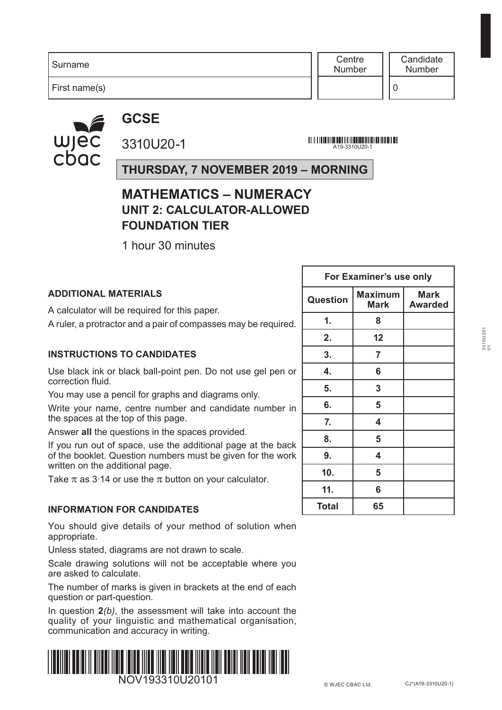First name(s)

**Centre** Number

0

### **GCSE**



3310U20-1

A19-3310U20-1<br>- A19-3310U20-1

**THURSDAY, 7 NOVEMBER 2019 – MORNING**

#### **MATHEMATICS – NUMERACY UNIT 2: CALCULATOR-ALLOWED FOUNDATION TIER**

1 hour 30 minutes

#### **ADDITIONAL MATERIALS**

A calculator will be required for this paper.

A ruler, a protractor and a pair of compasses may be required.

#### **INSTRUCTIONS TO CANDIDATES**

Use black ink or black ball-point pen. Do not use gel pen or correction fluid.

You may use a pencil for graphs and diagrams only.

Write your name, centre number and candidate number in the spaces at the top of this page.

Answer **all** the questions in the spaces provided.

If you run out of space, use the additional page at the back of the booklet. Question numbers must be given for the work written on the additional page.

Take  $\pi$  as 3.14 or use the  $\pi$  button on your calculator.

#### **INFORMATION FOR CANDIDATES**

You should give details of your method of solution when appropriate.

Unless stated, diagrams are not drawn to scale.

Scale drawing solutions will not be acceptable where you are asked to calculate.

The number of marks is given in brackets at the end of each question or part-question.

In question **2***(b)*, the assessment will take into account the quality of your linguistic and mathematical organisation, communication and accuracy in writing.



| For Examiner's use only |                               |                               |  |  |  |
|-------------------------|-------------------------------|-------------------------------|--|--|--|
| Question                | <b>Maximum</b><br><b>Mark</b> | <b>Mark</b><br><b>Awarded</b> |  |  |  |
| 1.                      | 8                             |                               |  |  |  |
| 2.                      | 12                            |                               |  |  |  |
| 3.                      | 7                             |                               |  |  |  |
| 4.                      | 6                             |                               |  |  |  |
| 5.                      | 3                             |                               |  |  |  |
| 6.                      | 5                             |                               |  |  |  |
| 7.                      | 4                             |                               |  |  |  |
| 8.                      | 5                             |                               |  |  |  |
| 9.                      | 4                             |                               |  |  |  |
| 10.                     | 5                             |                               |  |  |  |
| 11.                     | 6                             |                               |  |  |  |
| Total                   | 65                            |                               |  |  |  |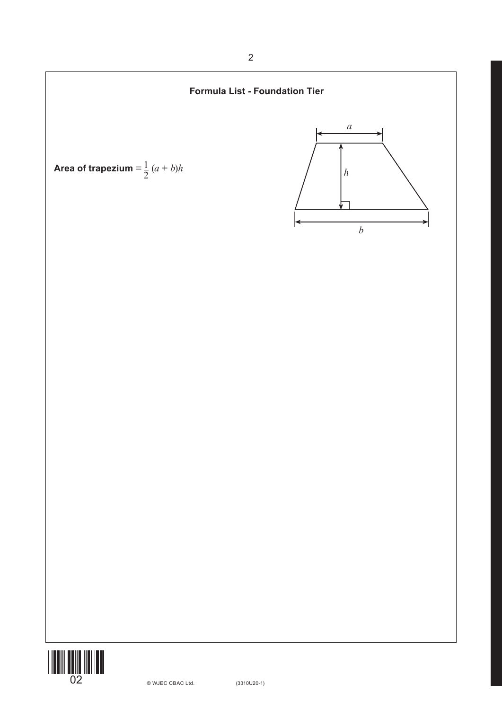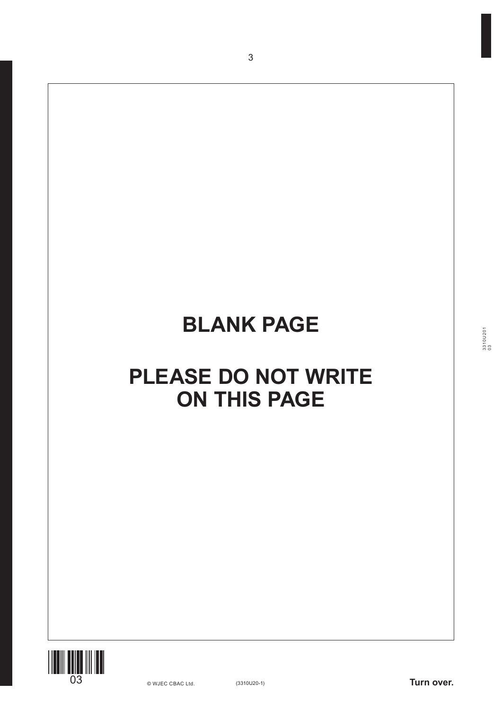3



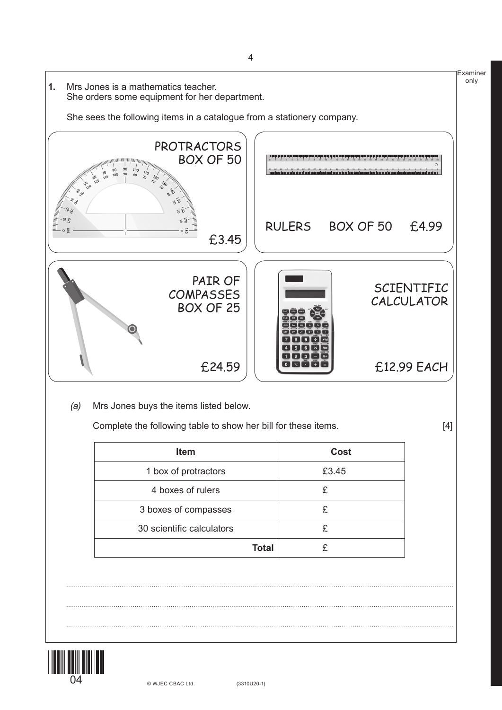

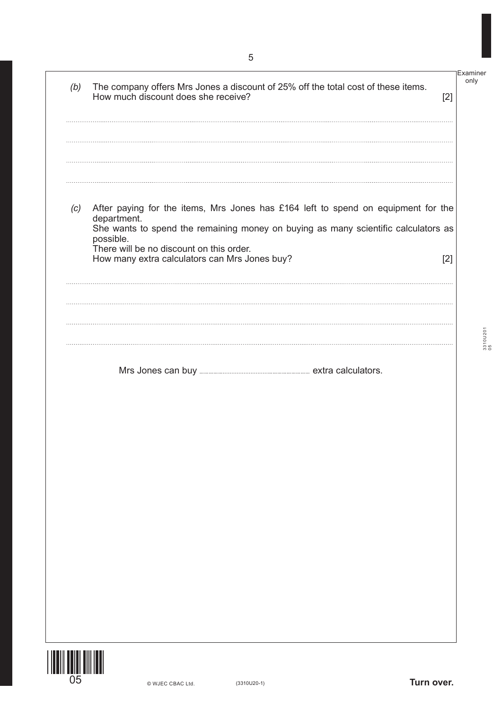| (b) | The company offers Mrs Jones a discount of 25% off the total cost of these items.<br>How much discount does she receive?                                                                                                                        | Examiner<br>only<br>$[2]$ |
|-----|-------------------------------------------------------------------------------------------------------------------------------------------------------------------------------------------------------------------------------------------------|---------------------------|
|     |                                                                                                                                                                                                                                                 |                           |
|     |                                                                                                                                                                                                                                                 |                           |
| (c) | After paying for the items, Mrs Jones has £164 left to spend on equipment for the<br>department.<br>She wants to spend the remaining money on buying as many scientific calculators as<br>possible.<br>There will be no discount on this order. |                           |
|     | How many extra calculators can Mrs Jones buy?                                                                                                                                                                                                   | $[2]$                     |
|     |                                                                                                                                                                                                                                                 |                           |
|     |                                                                                                                                                                                                                                                 |                           |



(3310U20-1) **Turn over.**

3310U201 3310U201<br>05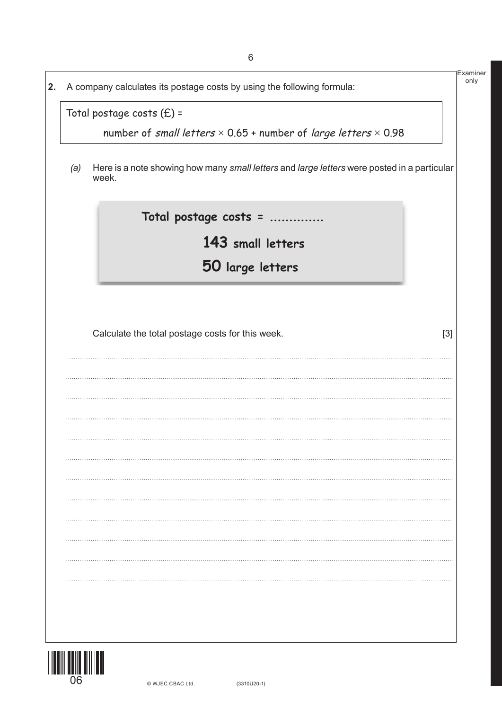|     | A company calculates its postage costs by using the following formula:                               |  |
|-----|------------------------------------------------------------------------------------------------------|--|
|     | Total postage costs $(E)$ =                                                                          |  |
|     | number of small letters $\times$ 0.65 + number of large letters $\times$ 0.98                        |  |
| (a) | Here is a note showing how many small letters and large letters were posted in a particular<br>week. |  |
|     | Total postage costs =                                                                                |  |
|     | 143 small letters                                                                                    |  |
|     | 50 large letters                                                                                     |  |
|     |                                                                                                      |  |
|     |                                                                                                      |  |
|     | Calculate the total postage costs for this week.<br>$[3]$                                            |  |
|     |                                                                                                      |  |
|     |                                                                                                      |  |
|     |                                                                                                      |  |
|     |                                                                                                      |  |
|     |                                                                                                      |  |
|     |                                                                                                      |  |
|     |                                                                                                      |  |
|     |                                                                                                      |  |
|     |                                                                                                      |  |
|     |                                                                                                      |  |
|     |                                                                                                      |  |
|     |                                                                                                      |  |
|     |                                                                                                      |  |
|     |                                                                                                      |  |
|     |                                                                                                      |  |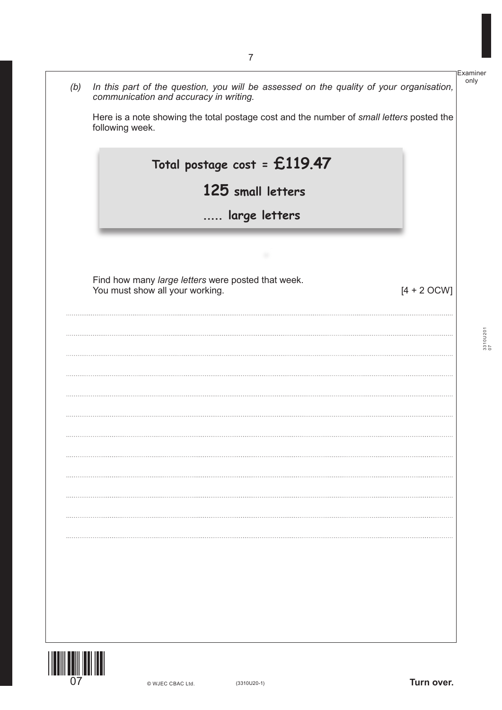|                              |                                                                                                                                   | Examiner    |
|------------------------------|-----------------------------------------------------------------------------------------------------------------------------------|-------------|
| (b)                          | In this part of the question, you will be assessed on the quality of your organisation,<br>communication and accuracy in writing. | only        |
|                              | Here is a note showing the total postage cost and the number of small letters posted the<br>following week.                       |             |
|                              | Total postage cost = $£119.47$                                                                                                    |             |
|                              | 125 small letters                                                                                                                 |             |
|                              | large letters                                                                                                                     |             |
|                              |                                                                                                                                   |             |
|                              | Find how many large letters were posted that week.<br>You must show all your working.<br>$[4 + 2$ OCW]                            |             |
|                              |                                                                                                                                   |             |
|                              |                                                                                                                                   | $3310$ U201 |
|                              |                                                                                                                                   |             |
|                              |                                                                                                                                   |             |
|                              |                                                                                                                                   |             |
|                              |                                                                                                                                   |             |
|                              |                                                                                                                                   |             |
|                              |                                                                                                                                   |             |
|                              |                                                                                                                                   |             |
|                              |                                                                                                                                   |             |
|                              |                                                                                                                                   |             |
|                              |                                                                                                                                   |             |
|                              |                                                                                                                                   |             |
|                              |                                                                                                                                   |             |
| I III III III III IIII IIIII |                                                                                                                                   |             |



(3310U20-1) **Turn over.**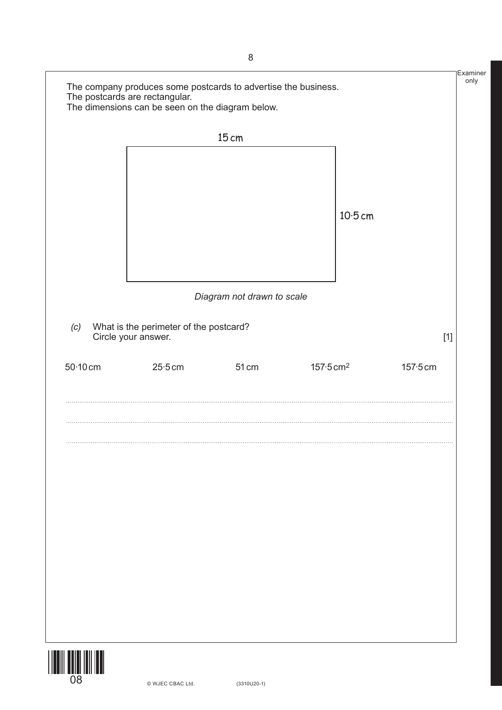|            | The company produces some postcards to advertise the business.<br>The postcards are rectangular. |                            |                        | Examiner<br>only |
|------------|--------------------------------------------------------------------------------------------------|----------------------------|------------------------|------------------|
|            | The dimensions can be seen on the diagram below.                                                 |                            |                        |                  |
|            |                                                                                                  | 15 cm                      |                        |                  |
|            |                                                                                                  |                            |                        |                  |
|            |                                                                                                  |                            |                        |                  |
|            |                                                                                                  |                            |                        |                  |
|            |                                                                                                  |                            | $10-5$ cm              |                  |
|            |                                                                                                  |                            |                        |                  |
|            |                                                                                                  |                            |                        |                  |
|            |                                                                                                  |                            |                        |                  |
|            |                                                                                                  | Diagram not drawn to scale |                        |                  |
| (c)        | What is the perimeter of the postcard?<br>Circle your answer.                                    |                            |                        |                  |
|            |                                                                                                  |                            |                        | $[1]$            |
| $50-10$ cm | 25.5cm                                                                                           | 51 cm                      | $157.5 \, \text{cm}^2$ | $157.5$ cm       |
|            |                                                                                                  |                            |                        |                  |
|            |                                                                                                  |                            |                        |                  |
|            |                                                                                                  |                            |                        |                  |
|            |                                                                                                  |                            |                        |                  |
|            |                                                                                                  |                            |                        |                  |
|            |                                                                                                  |                            |                        |                  |
| 08         | © WJEC CBAC Ltd.                                                                                 | $(3310U20-1)$              |                        |                  |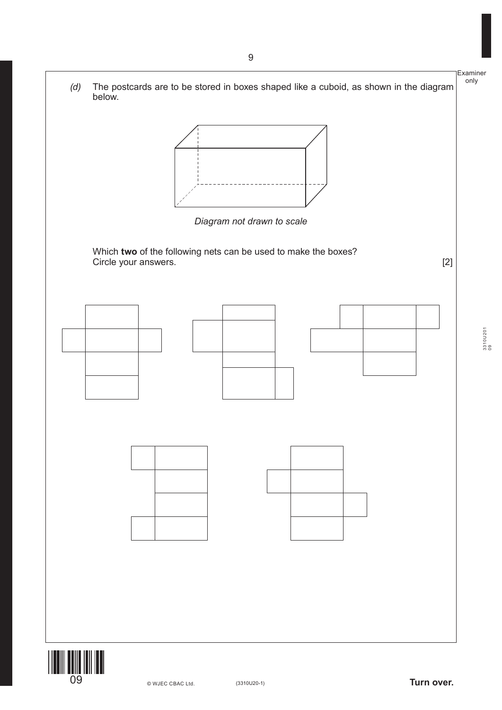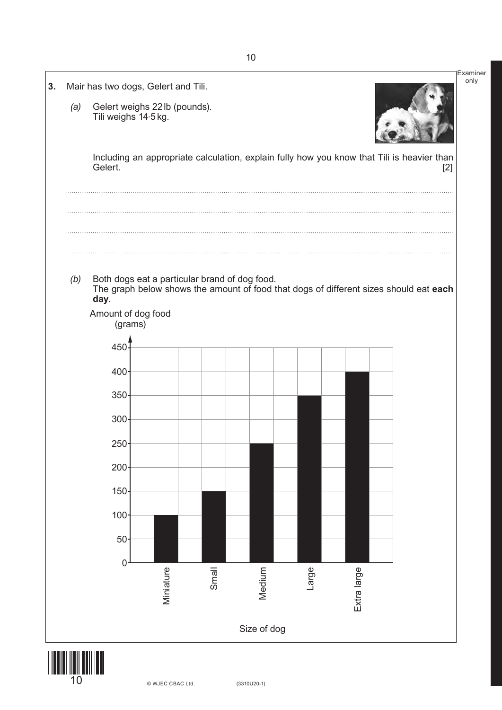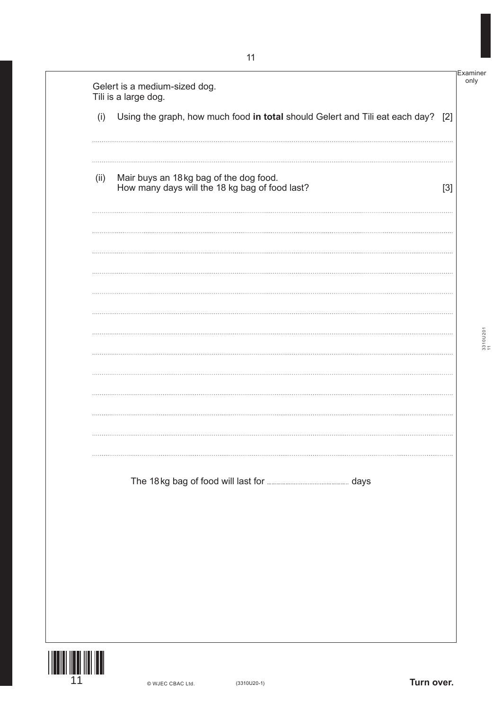Examiner only

> 3310U201 3310U201<br>11

| Using the graph, how much food in total should Gelert and Tili eat each day?             |  |
|------------------------------------------------------------------------------------------|--|
| (i)                                                                                      |  |
|                                                                                          |  |
| (ii)                                                                                     |  |
| Mair buys an 18kg bag of the dog food.<br>How many days will the 18 kg bag of food last? |  |
|                                                                                          |  |
|                                                                                          |  |
|                                                                                          |  |
|                                                                                          |  |
|                                                                                          |  |
|                                                                                          |  |
|                                                                                          |  |
|                                                                                          |  |
|                                                                                          |  |
|                                                                                          |  |
|                                                                                          |  |
|                                                                                          |  |
|                                                                                          |  |
|                                                                                          |  |
|                                                                                          |  |
|                                                                                          |  |
|                                                                                          |  |
|                                                                                          |  |
|                                                                                          |  |
|                                                                                          |  |

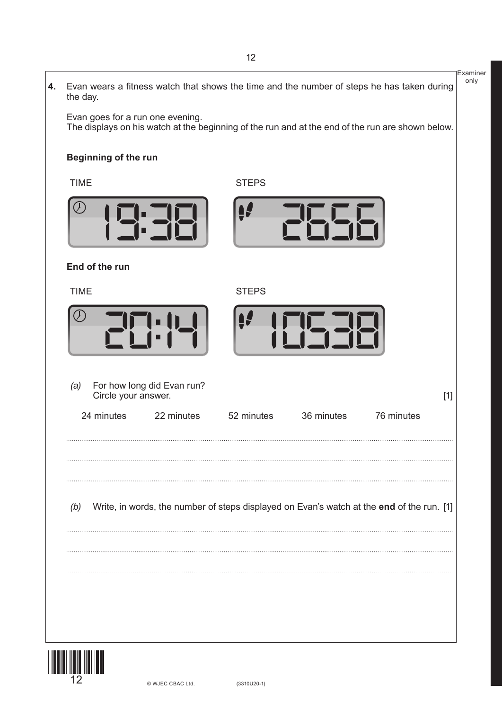|    |                                                          |                                                                                                  | Examiner<br>only |
|----|----------------------------------------------------------|--------------------------------------------------------------------------------------------------|------------------|
| 4. | the day.                                                 | Evan wears a fitness watch that shows the time and the number of steps he has taken during       |                  |
|    | Evan goes for a run one evening.                         | The displays on his watch at the beginning of the run and at the end of the run are shown below. |                  |
|    | <b>Beginning of the run</b>                              |                                                                                                  |                  |
|    | <b>TIME</b>                                              | <b>STEPS</b>                                                                                     |                  |
|    |                                                          |                                                                                                  |                  |
|    | End of the run                                           |                                                                                                  |                  |
|    | <b>TIME</b>                                              | <b>STEPS</b>                                                                                     |                  |
|    |                                                          |                                                                                                  |                  |
|    | For how long did Evan run?<br>(a)<br>Circle your answer. | $[1]$                                                                                            |                  |
|    | 24 minutes<br>22 minutes                                 | 52 minutes<br>36 minutes<br>76 minutes                                                           |                  |
|    |                                                          |                                                                                                  |                  |
|    | (b)                                                      | Write, in words, the number of steps displayed on Evan's watch at the end of the run. [1]        |                  |
|    |                                                          |                                                                                                  |                  |
|    |                                                          |                                                                                                  |                  |
|    |                                                          |                                                                                                  |                  |
|    |                                                          |                                                                                                  |                  |
|    | © WJEC CBAC Ltd.                                         | $(3310U20-1)$                                                                                    |                  |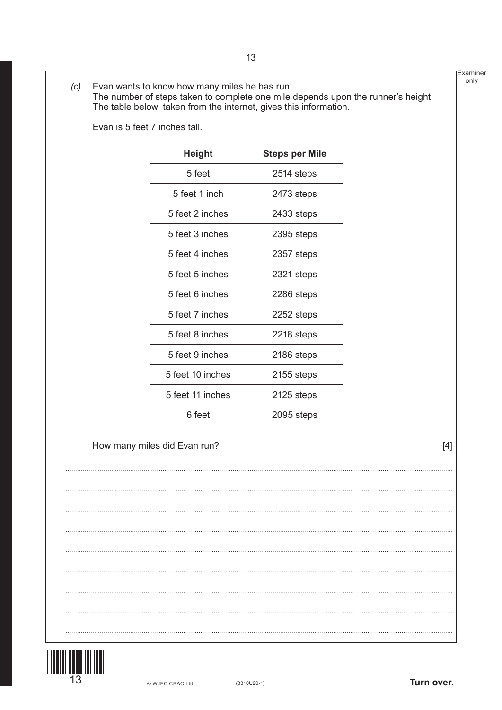|                  | <b>Steps per Mile</b>        |       |
|------------------|------------------------------|-------|
| 5 feet           | 2514 steps                   |       |
| 5 feet 1 inch    | 2473 steps                   |       |
| 5 feet 2 inches  | 2433 steps                   |       |
| 5 feet 3 inches  | 2395 steps                   |       |
| 5 feet 4 inches  | 2357 steps                   |       |
| 5 feet 5 inches  | 2321 steps                   |       |
| 5 feet 6 inches  | 2286 steps                   |       |
| 5 feet 7 inches  | 2252 steps                   |       |
| 5 feet 8 inches  | 2218 steps                   |       |
| 5 feet 9 inches  | 2186 steps                   |       |
| 5 feet 10 inches | 2155 steps                   |       |
| 5 feet 11 inches | 2125 steps                   |       |
| 6 feet           | 2095 steps                   |       |
|                  |                              | $[4]$ |
|                  |                              |       |
|                  |                              |       |
|                  |                              |       |
|                  |                              |       |
|                  |                              |       |
|                  |                              |       |
|                  | How many miles did Evan run? |       |

Evan is 5 feet 7 inches tall.

*(c)* Evan wants to know how many miles he has run.

The table below, taken from the internet, gives this information.

The number of steps taken to complete one mile depends upon the runner's height.

Examiner only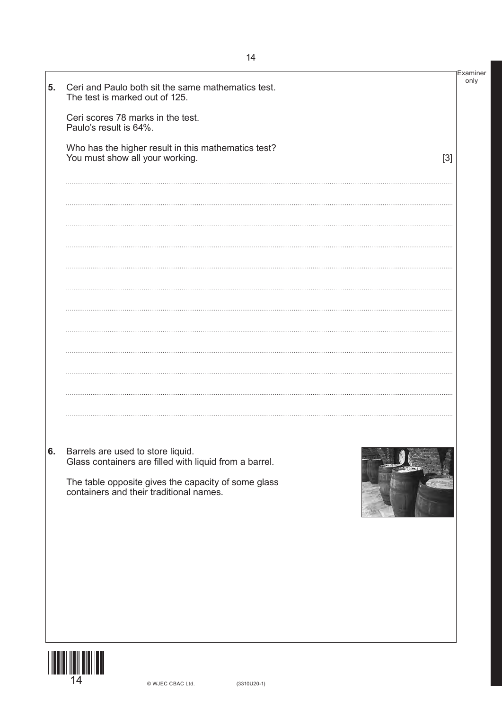| 5. | Ceri and Paulo both sit the same mathematics test.<br>The test is marked out of 125.                                                                  | Examiner<br>only |
|----|-------------------------------------------------------------------------------------------------------------------------------------------------------|------------------|
|    | Ceri scores 78 marks in the test.<br>Paulo's result is 64%.                                                                                           |                  |
|    | Who has the higher result in this mathematics test?<br>You must show all your working.                                                                | $[3]$            |
|    |                                                                                                                                                       |                  |
|    |                                                                                                                                                       |                  |
|    |                                                                                                                                                       |                  |
|    |                                                                                                                                                       |                  |
|    |                                                                                                                                                       |                  |
|    |                                                                                                                                                       |                  |
|    |                                                                                                                                                       |                  |
|    |                                                                                                                                                       |                  |
|    |                                                                                                                                                       |                  |
| 6. | Barrels are used to store liquid.                                                                                                                     |                  |
|    | Glass containers are filled with liquid from a barrel.<br>The table opposite gives the capacity of some glass containers and their traditional names. |                  |
|    |                                                                                                                                                       |                  |
|    |                                                                                                                                                       |                  |
|    |                                                                                                                                                       |                  |
|    |                                                                                                                                                       |                  |
| I  |                                                                                                                                                       |                  |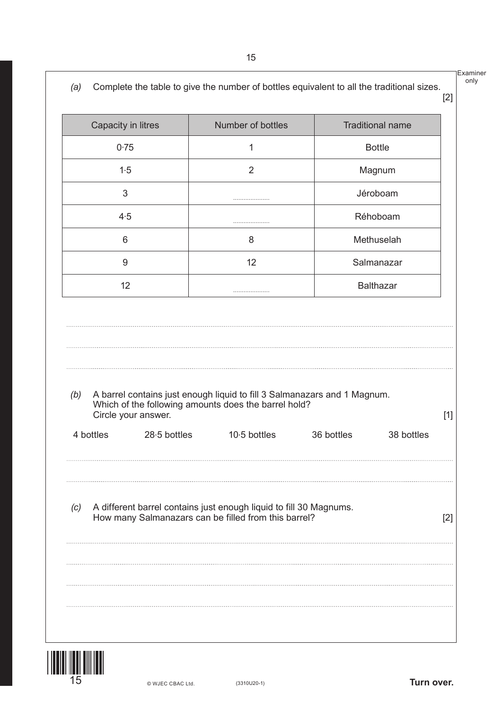only

|           | Capacity in litres  | Number of bottles                                                                                                                |            | <b>Traditional name</b> |
|-----------|---------------------|----------------------------------------------------------------------------------------------------------------------------------|------------|-------------------------|
|           | 0.75                | 1                                                                                                                                |            | <b>Bottle</b>           |
|           | 1.5                 | 2                                                                                                                                |            | Magnum                  |
|           | 3                   | .                                                                                                                                |            | Jéroboam                |
|           | 4.5                 | .                                                                                                                                |            | Réhoboam                |
|           | 6                   | 8                                                                                                                                |            | Methuselah              |
|           | 9                   | 12                                                                                                                               |            | Salmanazar              |
|           | 12                  | .                                                                                                                                |            | <b>Balthazar</b>        |
| (b)       | Circle your answer. | A barrel contains just enough liquid to fill 3 Salmanazars and 1 Magnum.<br>Which of the following amounts does the barrel hold? |            |                         |
| 4 bottles | 28.5 bottles        | $10.5$ bottles                                                                                                                   | 36 bottles | 38 bottles              |
| (c)       |                     | A different barrel contains just enough liquid to fill 30 Magnums.<br>How many Salmanazars can be filled from this barrel?       |            |                         |

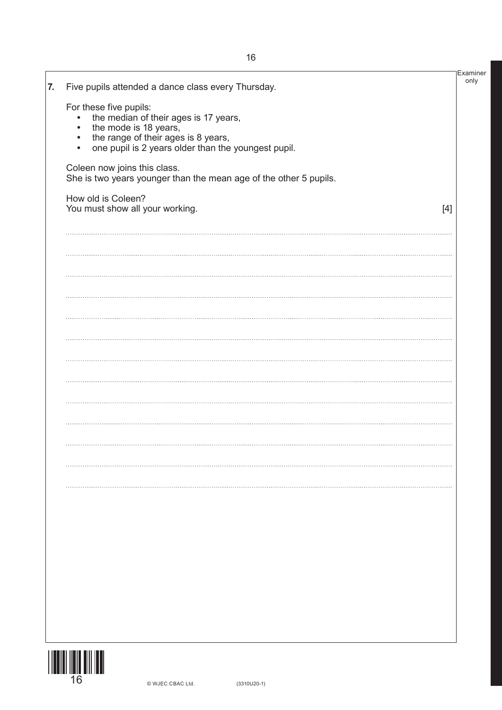| the mode is 18 years,<br>the range of their ages is 8 years,<br>$\bullet$<br>one pupil is 2 years older than the youngest pupil.<br>$\bullet$ |       |
|-----------------------------------------------------------------------------------------------------------------------------------------------|-------|
| Coleen now joins this class.<br>She is two years younger than the mean age of the other 5 pupils.                                             |       |
| How old is Coleen?<br>You must show all your working.                                                                                         | $[4]$ |
|                                                                                                                                               |       |
|                                                                                                                                               |       |
|                                                                                                                                               |       |
|                                                                                                                                               |       |
|                                                                                                                                               |       |
|                                                                                                                                               |       |
|                                                                                                                                               |       |
|                                                                                                                                               |       |
|                                                                                                                                               |       |
|                                                                                                                                               |       |
|                                                                                                                                               |       |
|                                                                                                                                               |       |
|                                                                                                                                               |       |
|                                                                                                                                               |       |
|                                                                                                                                               |       |
|                                                                                                                                               |       |

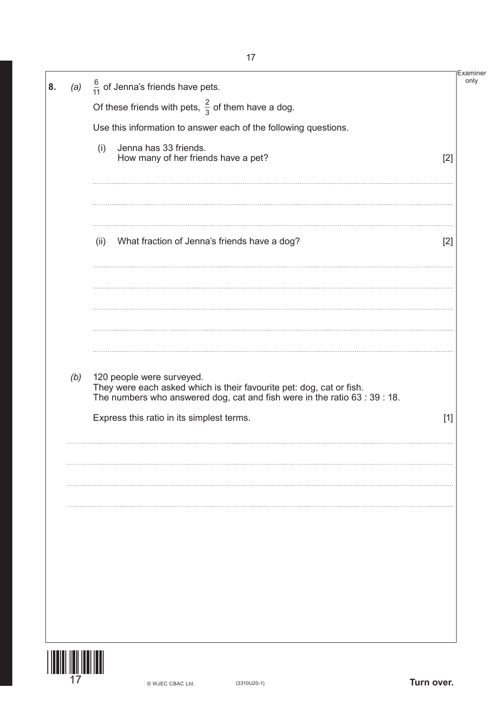| $\frac{6}{11}$ of Jenna's friends have pets.<br>(a)<br>8.                                                                                                                                       | Examiner |
|-------------------------------------------------------------------------------------------------------------------------------------------------------------------------------------------------|----------|
| Of these friends with pets, $\frac{2}{3}$ of them have a dog.                                                                                                                                   |          |
| Use this information to answer each of the following questions.                                                                                                                                 |          |
| Jenna has 33 friends.<br>(i)<br>How many of her friends have a pet?                                                                                                                             | $[2]$    |
| What fraction of Jenna's friends have a dog?<br>(ii)                                                                                                                                            | $[2]$    |
|                                                                                                                                                                                                 |          |
| (b)<br>120 people were surveyed.                                                                                                                                                                |          |
| They were each asked which is their favourite pet: dog, cat or fish.<br>The numbers who answered dog, cat and fish were in the ratio 63 : 39 : 18.<br>Express this ratio in its simplest terms. | $[1]$    |
|                                                                                                                                                                                                 |          |
|                                                                                                                                                                                                 |          |
|                                                                                                                                                                                                 |          |
|                                                                                                                                                                                                 |          |
|                                                                                                                                                                                                 |          |
|                                                                                                                                                                                                 |          |
|                                                                                                                                                                                                 |          |

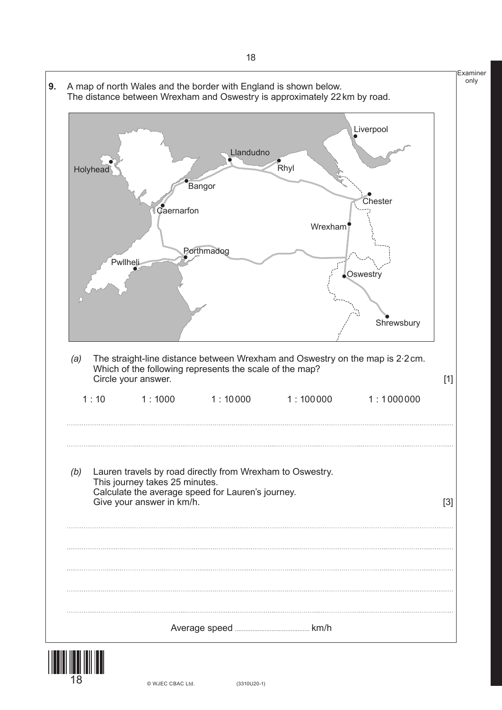



© WJEC CBAC Ltd.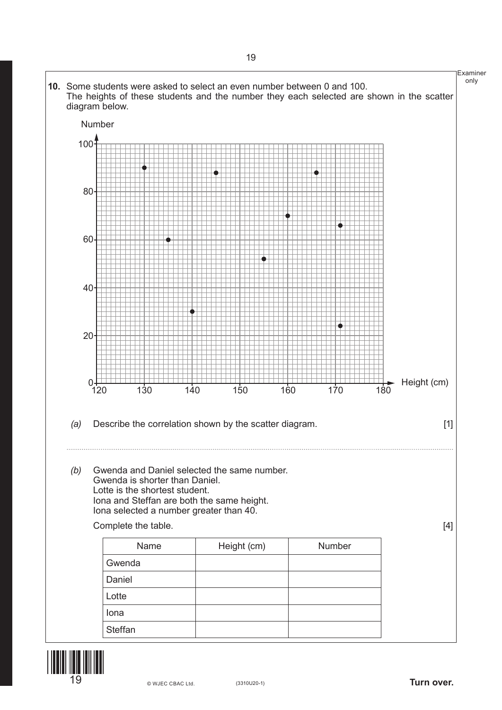



**Turn over.**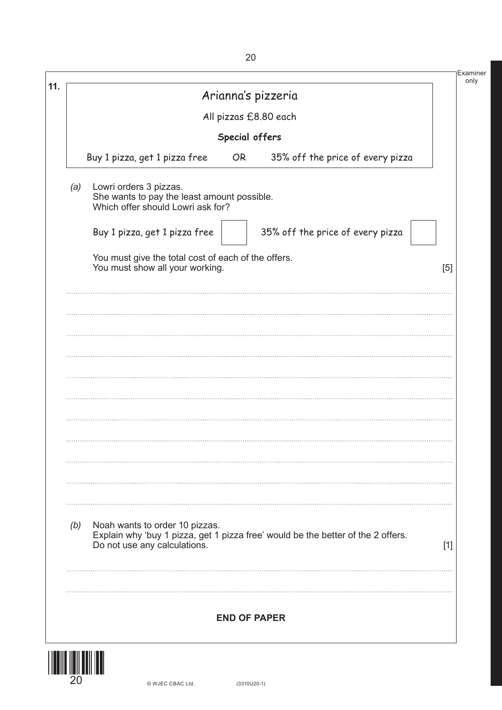|                       | Arianna's pizzeria                                                                                         |                                                                                  |       |  |
|-----------------------|------------------------------------------------------------------------------------------------------------|----------------------------------------------------------------------------------|-------|--|
| All pizzas £8.80 each |                                                                                                            |                                                                                  |       |  |
|                       | Special offers                                                                                             |                                                                                  |       |  |
|                       | Buy 1 pizza, get 1 pizza free<br>OR <sub></sub>                                                            | 35% off the price of every pizza                                                 |       |  |
| (a)                   | Lowri orders 3 pizzas.<br>She wants to pay the least amount possible.<br>Which offer should Lowri ask for? |                                                                                  |       |  |
|                       | Buy 1 pizza, get 1 pizza free                                                                              | 35% off the price of every pizza                                                 |       |  |
|                       | You must give the total cost of each of the offers.<br>You must show all your working.                     |                                                                                  |       |  |
|                       |                                                                                                            |                                                                                  |       |  |
|                       |                                                                                                            |                                                                                  |       |  |
|                       |                                                                                                            |                                                                                  |       |  |
|                       |                                                                                                            |                                                                                  |       |  |
|                       |                                                                                                            |                                                                                  |       |  |
|                       |                                                                                                            |                                                                                  |       |  |
|                       |                                                                                                            |                                                                                  |       |  |
|                       |                                                                                                            |                                                                                  |       |  |
|                       | Noah wants to order 10 pizzas.                                                                             |                                                                                  |       |  |
| (b)                   |                                                                                                            | Explain why 'buy 1 pizza, get 1 pizza free' would be the better of the 2 offers. | $[1]$ |  |
|                       | Do not use any calculations.                                                                               |                                                                                  |       |  |
|                       |                                                                                                            |                                                                                  |       |  |
|                       | <b>END OF PAPER</b>                                                                                        |                                                                                  |       |  |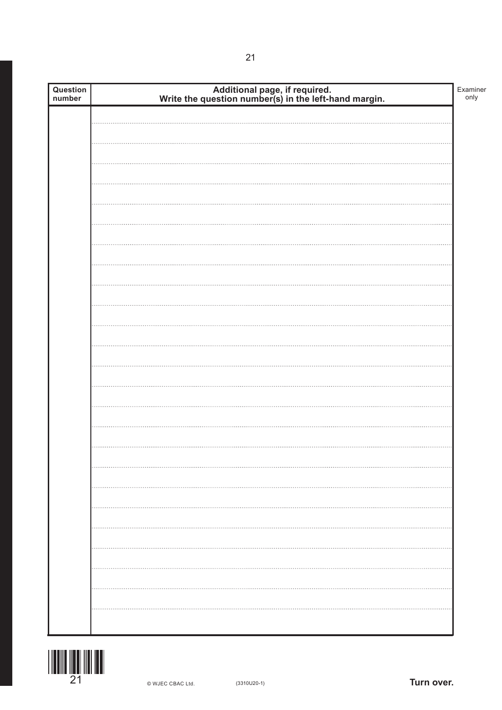| Question<br>number | Additional page, if required.<br>Write the question number(s) in the left-hand margin. | Examiner<br>only |
|--------------------|----------------------------------------------------------------------------------------|------------------|
|                    |                                                                                        |                  |
|                    |                                                                                        |                  |
|                    |                                                                                        |                  |
|                    |                                                                                        |                  |
|                    |                                                                                        |                  |
|                    |                                                                                        |                  |
|                    |                                                                                        |                  |
|                    |                                                                                        |                  |
|                    |                                                                                        |                  |
|                    |                                                                                        |                  |
|                    |                                                                                        |                  |
|                    |                                                                                        |                  |
|                    |                                                                                        |                  |
|                    |                                                                                        |                  |
|                    |                                                                                        |                  |
|                    |                                                                                        |                  |
|                    |                                                                                        |                  |
|                    |                                                                                        |                  |
|                    |                                                                                        |                  |
|                    |                                                                                        |                  |
|                    |                                                                                        |                  |
|                    |                                                                                        |                  |
|                    |                                                                                        |                  |
|                    |                                                                                        |                  |
|                    |                                                                                        |                  |
|                    |                                                                                        |                  |
|                    |                                                                                        |                  |
|                    |                                                                                        |                  |
|                    |                                                                                        |                  |
|                    |                                                                                        |                  |
|                    |                                                                                        |                  |
|                    |                                                                                        |                  |
|                    |                                                                                        |                  |
|                    |                                                                                        |                  |
|                    |                                                                                        |                  |
|                    |                                                                                        |                  |
|                    |                                                                                        |                  |
|                    |                                                                                        |                  |

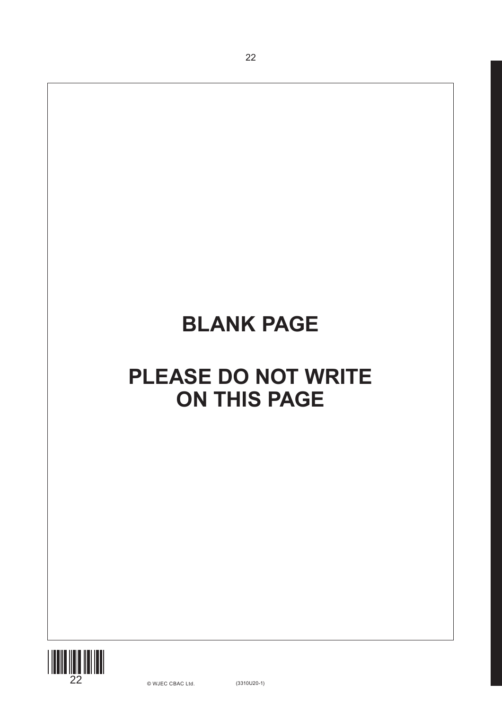22

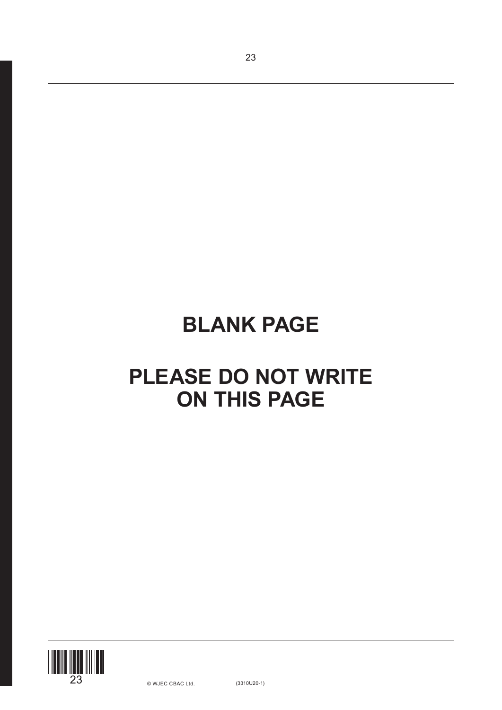23